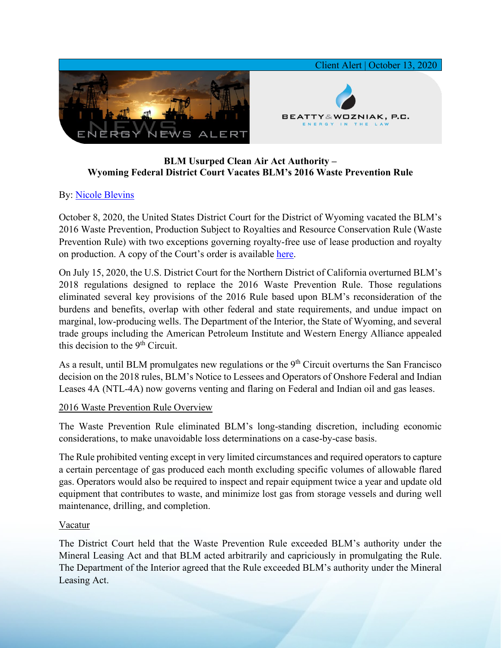

# **BLM Usurped Clean Air Act Authority – Wyoming Federal District Court Vacates BLM's 2016 Waste Prevention Rule**

# By: [Nicole Blevins](https://www.bwenergylaw.com/nicole-blevins)

October 8, 2020, the United States District Court for the District of Wyoming vacated the BLM's 2016 Waste Prevention, Production Subject to Royalties and Resource Conservation Rule (Waste Prevention Rule) with two exceptions governing royalty-free use of lease production and royalty on production. A copy of the Court's order is available [here.](https://7786d557-4329-4d99-be6b-ee891e97ad6a.filesusr.com/ugd/2f2374_120bf1a6a85847d8964df9041369cd55.pdf)

On July 15, 2020, the U.S. District Court for the Northern District of California overturned BLM's 2018 regulations designed to replace the 2016 Waste Prevention Rule. Those regulations eliminated several key provisions of the 2016 Rule based upon BLM's reconsideration of the burdens and benefits, overlap with other federal and state requirements, and undue impact on marginal, low-producing wells. The Department of the Interior, the State of Wyoming, and several trade groups including the American Petroleum Institute and Western Energy Alliance appealed this decision to the 9<sup>th</sup> Circuit.

As a result, until BLM promulgates new regulations or the  $9<sup>th</sup>$  Circuit overturns the San Francisco decision on the 2018 rules, BLM's Notice to Lessees and Operators of Onshore Federal and Indian Leases 4A (NTL-4A) now governs venting and flaring on Federal and Indian oil and gas leases.

### 2016 Waste Prevention Rule Overview

The Waste Prevention Rule eliminated BLM's long-standing discretion, including economic considerations, to make unavoidable loss determinations on a case-by-case basis.

The Rule prohibited venting except in very limited circumstances and required operators to capture a certain percentage of gas produced each month excluding specific volumes of allowable flared gas. Operators would also be required to inspect and repair equipment twice a year and update old equipment that contributes to waste, and minimize lost gas from storage vessels and during well maintenance, drilling, and completion.

### Vacatur

The District Court held that the Waste Prevention Rule exceeded BLM's authority under the Mineral Leasing Act and that BLM acted arbitrarily and capriciously in promulgating the Rule. The Department of the Interior agreed that the Rule exceeded BLM's authority under the Mineral Leasing Act.